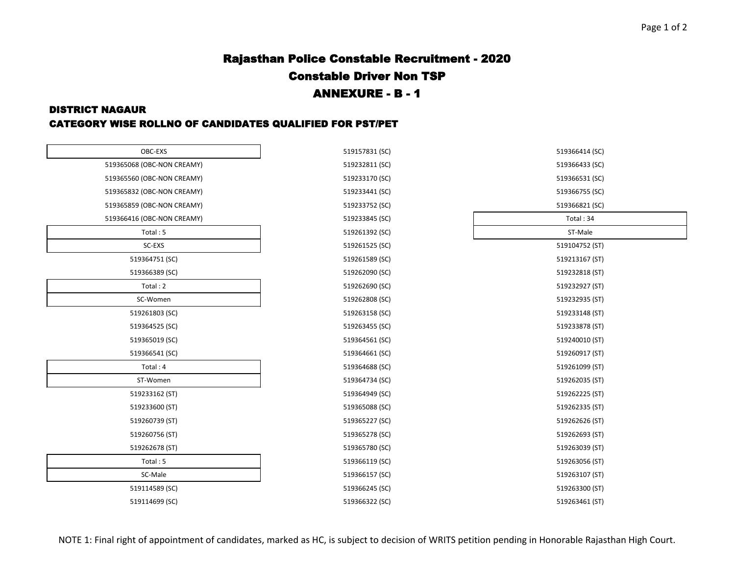#### Page 1 of 2

# Rajasthan Police Constable Recruitment - 2020 Constable Driver Non TSP ANNEXURE - B - 1

#### DISTRICT NAGAUR

### CATEGORY WISE ROLLNO OF CANDIDATES QUALIFIED FOR PST/PET

| OBC-EXS                    |  |
|----------------------------|--|
| 519365068 (OBC-NON CREAMY) |  |
| 519365560 (OBC-NON CREAMY) |  |
| 519365832 (OBC-NON CREAMY) |  |
| 519365859 (OBC-NON CREAMY) |  |
| 519366416 (OBC-NON CREAMY) |  |
| Total: 5                   |  |
| SC-EXS                     |  |
| 519364751 (SC)             |  |
| 519366389 (SC)             |  |
| Total: 2                   |  |
| SC-Women                   |  |
| 519261803 (SC)             |  |
| 519364525 (SC)             |  |
| 519365019 (SC)             |  |
| 519366541 (SC)             |  |
| Total: 4                   |  |
| ST-Women                   |  |
| 519233162 (ST)             |  |
| 519233600 (ST)             |  |
| 519260739 (ST)             |  |
| 519260756 (ST)             |  |
| 519262678 (ST)             |  |
| Total: 5                   |  |
| SC-Male                    |  |
| 519114589 (SC)             |  |
| 519114699 (SC)             |  |

| OBC-EXS                    | 519157831 (SC) | 519366414 (SC) |
|----------------------------|----------------|----------------|
| 519365068 (OBC-NON CREAMY) | 519232811 (SC) | 519366433 (SC) |
| 519365560 (OBC-NON CREAMY) | 519233170 (SC) | 519366531 (SC) |
| 519365832 (OBC-NON CREAMY) | 519233441 (SC) | 519366755 (SC) |
| 519365859 (OBC-NON CREAMY) | 519233752 (SC) | 519366821 (SC) |
| 519366416 (OBC-NON CREAMY) | 519233845 (SC) | Total: 34      |
| Total: 5                   | 519261392 (SC) | ST-Male        |
| SC-EXS                     | 519261525 (SC) | 519104752 (ST) |
| 519364751 (SC)             | 519261589 (SC) | 519213167 (ST) |
| 519366389 (SC)             | 519262090 (SC) | 519232818 (ST) |
| Total: 2                   | 519262690 (SC) | 519232927 (ST) |
| SC-Women                   | 519262808 (SC) | 519232935 (ST) |
| 519261803 (SC)             | 519263158 (SC) | 519233148 (ST) |
| 519364525 (SC)             | 519263455 (SC) | 519233878 (ST) |
| 519365019 (SC)             | 519364561 (SC) | 519240010 (ST) |
| 519366541 (SC)             | 519364661 (SC) | 519260917 (ST) |
| Total: 4                   | 519364688 (SC) | 519261099 (ST) |
| ST-Women                   | 519364734 (SC) | 519262035 (ST) |
| 519233162 (ST)             | 519364949 (SC) | 519262225 (ST) |
| 519233600 (ST)             | 519365088 (SC) | 519262335 (ST) |
| 519260739 (ST)             | 519365227 (SC) | 519262626 (ST) |
| 519260756 (ST)             | 519365278 (SC) | 519262693 (ST) |
| 519262678 (ST)             | 519365780 (SC) | 519263039 (ST) |
| Total: 5                   | 519366119 (SC) | 519263056 (ST) |
| SC-Male                    | 519366157 (SC) | 519263107 (ST) |
| 519114589 (SC)             | 519366245 (SC) | 519263300 (ST) |
| 519114699 (SC)             | 519366322 (SC) | 519263461 (ST) |